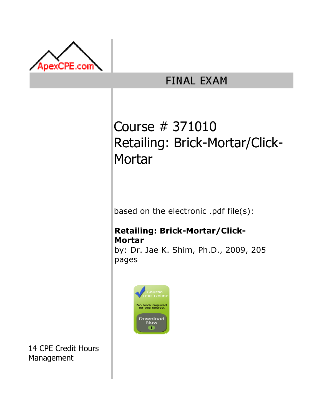

# **FINAL EXAM**

# Course # 371010 Retailing: Brick-Mortar/Click-**Mortar**

based on the electronic .pdf file(s):

# Retailing: Brick-Mortar/Click-Mortar

by: Dr. Jae K. Shim, Ph.D., 2009, 205 pages



14 CPE Credit Hours Management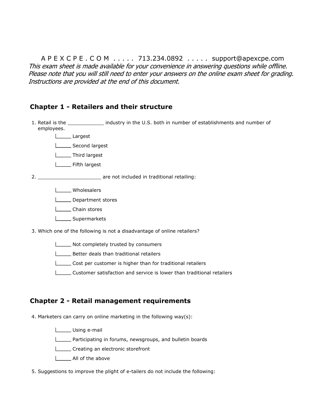A P E X C P E . C O M . . . . . 713.234.0892 . . . . . support@apexcpe.com This exam sheet is made available for your convenience in answering questions while offline. Please note that you will still need to enter your answers on the online exam sheet for grading. Instructions are provided at the end of this document.

#### Chapter 1 - Retailers and their structure

1. Retail is the \_\_\_\_\_\_\_\_\_\_\_\_ industry in the U.S. both in number of establishments and number of employees.

Largest

Second largest

**Letter** Third largest

**LETTE** Fifth largest

2. \_\_\_\_\_\_\_\_\_\_\_\_\_\_\_\_\_\_\_\_\_ are not included in traditional retailing:

**LECCC** Wholesalers

Department stores

**L** Chain stores

**Liet Supermarkets** 

3. Which one of the following is not a disadvantage of online retailers?

Not completely trusted by consumers

**Better deals than traditional retailers** 

Cost per customer is higher than for traditional retailers

Customer satisfaction and service is lower than traditional retailers

#### Chapter 2 - Retail management requirements

4. Marketers can carry on online marketing in the following way(s):

Using e-mail

**Participating in forums, newsgroups, and bulletin boards** 

Creating an electronic storefront

**LETT** All of the above

5. Suggestions to improve the plight of e-tailers do not include the following: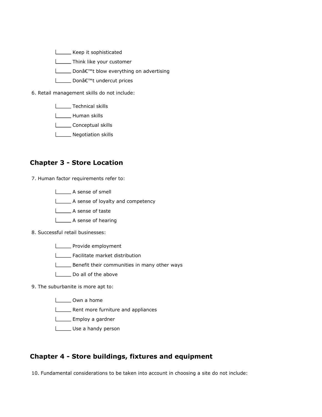**Lackson** Keep it sophisticated

**Think like your customer** 

**L** Don't blow everything on advertising

**L** Donâ€<sup>™</sup>t undercut prices

6. Retail management skills do not include:

**Technical skills** 

**Looper** Human skills

**Conceptual skills** 

**Negotiation skills** 

#### Chapter 3 - Store Location

7. Human factor requirements refer to:

A sense of smell

A sense of loyalty and competency

A sense of taste

A sense of hearing

8. Successful retail businesses:

**LETTE** Provide employment

- **Facilitate market distribution**
- **Benefit their communities in many other ways**
- Do all of the above

9. The suburbanite is more apt to:

- Own a home
- **LETT** Rent more furniture and appliances
- **Employ a gardner**
- Use a handy person

#### Chapter 4 - Store buildings, fixtures and equipment

10. Fundamental considerations to be taken into account in choosing a site do not include: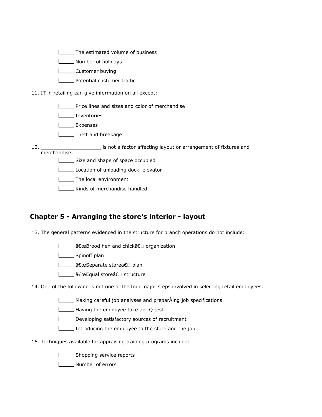**The estimated volume of business** 

**Number of holidays** 

L\_\_\_\_\_\_ Customer buying

**L** Potential customer traffic

11. IT in retailing can give information on all except:

**Price lines and sizes and color of merchandise** 

Inventories

L<sub>Expenses</sub>

**Theft and breakage** 

12. merchandise: **wate the factor of factor affecting layout or arrangement of fixtures and** 

Size and shape of space occupied

Location of unloading dock, elevator

**The local environment** 

**LETT** Kinds of merchandise handled

#### Chapter 5 - Arranging the store's interior - layout

13. The general patterns evidenced in the structure for branch operations do not include:

L\_\_\_\_\_\_ "Brood hen and chick†organization

**Spinoff plan** 

L\_\_\_\_\_\_ "Separate store†plan

L\_\_\_\_\_ "Equal store†structure

14. One of the following is not one of the four major steps involved in selecting retail employees:

 $\Box$  Making careful job analyses and preparÂing job specifications

Having the employee take an IQ test.

Developing satisfactory sources of recruitment

Introducing the employee to the store and the job.

15. Techniques available for appraising training programs include:

Shopping service reports

Number of errors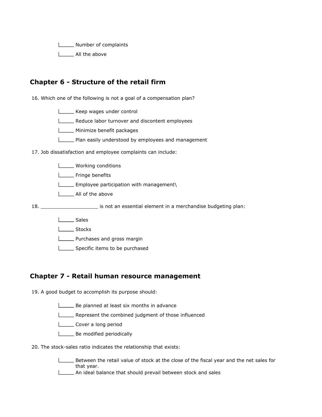**Number of complaints** 

I \_\_\_\_\_ All the above

# Chapter 6 - Structure of the retail firm

16. Which one of the following is not a goal of a compensation plan?

Keep wages under control

**LECO** Reduce labor turnover and discontent employees

**LETTE** Minimize benefit packages

**Plan easily understood by employees and management** 

17. Job dissatisfaction and employee complaints can include:

| is not an essential element in a merchandise budgeting plan: |
|--------------------------------------------------------------|
|                                                              |
|                                                              |
|                                                              |
|                                                              |

#### Specific items to be purchased

# Chapter 7 - Retail human resource management

19. A good budget to accomplish its purpose should:

- Be planned at least six months in advance
- Represent the combined judgment of those influenced
- Cover a long period
- **Letter** Be modified periodically
- 20. The stock-sales ratio indicates the relationship that exists:

Between the retail value of stock at the close of the fiscal year and the net sales for that year.

**LETT** An ideal balance that should prevail between stock and sales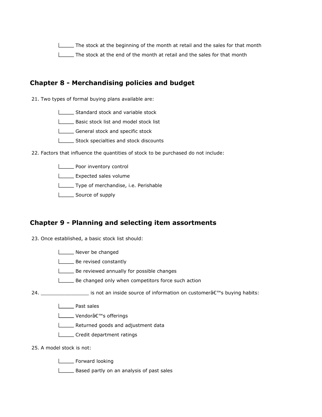The stock at the beginning of the month at retail and the sales for that month The stock at the end of the month at retail and the sales for that month

# Chapter 8 - Merchandising policies and budget

21. Two types of formal buying plans available are:

Standard stock and variable stock

**L**\_\_\_\_\_\_\_ Basic stock list and model stock list

General stock and specific stock

Stock specialties and stock discounts

22. Factors that influence the quantities of stock to be purchased do not include:

**Poor inventory control** 

**Expected sales volume** 

Type of merchandise, i.e. Perishable

Source of supply

#### Chapter 9 - Planning and selecting item assortments

23. Once established, a basic stock list should:

Never be changed

**LETTE:** Be revised constantly

**LETT** Be reviewed annually for possible changes

Be changed only when competitors force such action

24.  $\frac{1}{2}$  is not an inside source of information on customer $\hat{a} \in \mathbb{N}$ s buying habits:

**Lacks** Past sales

L\_\_\_\_ Vendor's offerings

**LETT** Returned goods and adjustment data

Credit department ratings

25. A model stock is not:

**Lackson** Forward looking

Based partly on an analysis of past sales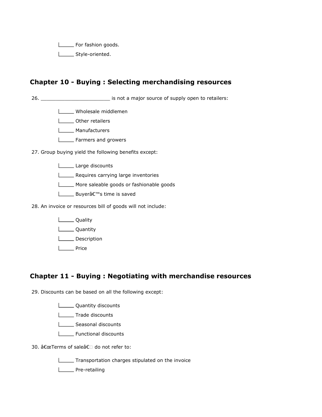For fashion goods.

L\_\_\_\_\_\_ Style-oriented.

# Chapter 10 - Buying : Selecting merchandising resources

26. \_\_\_\_\_\_\_\_\_\_\_\_\_\_\_\_\_\_\_\_\_\_\_ is not a major source of supply open to retailers:

**LACCE** Wholesale middlemen

L**L** Other retailers

**L\_\_\_\_\_\_** Manufacturers

**LETTE** Farmers and growers

27. Group buying yield the following benefits except:

Large discounts

**LECT** Requires carrying large inventories

More saleable goods or fashionable goods

**L** Buyer's time is saved

28. An invoice or resources bill of goods will not include:

**L\_\_\_\_\_** Quality

**Loughter** Quantity

**L** Description

**Lacker** Price

# Chapter 11 - Buying : Negotiating with merchandise resources

29. Discounts can be based on all the following except:

**LETT** Quantity discounts

**Trade discounts** 

Seasonal discounts

Functional discounts

30. "Terms of sale†do not refer to:

Transportation charges stipulated on the invoice

**L\_\_\_\_\_** Pre-retailing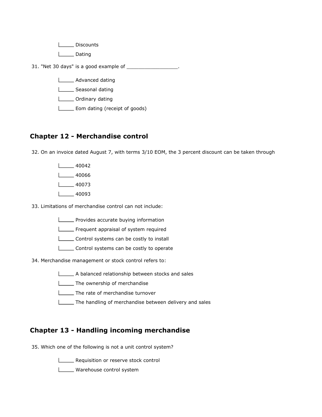L<sub>Discounts</sub> l\_\_\_\_ Dating 31. "Net 30 days" is a good example of \_\_\_\_\_\_\_\_\_\_\_\_\_\_\_\_\_. **LETTE** Advanced dating Seasonal dating **LETT** Ordinary dating

**Eom dating (receipt of goods)** 

# Chapter 12 - Merchandise control

32. On an invoice dated August 7, with terms 3/10 EOM, the 3 percent discount can be taken through

- $\frac{1}{2}$  40042  $\frac{1}{2}$  40066  $\frac{1}{40073}$
- $1 40093$

33. Limitations of merchandise control can not include:

**LETT** Provides accurate buying information

Frequent appraisal of system required

Control systems can be costly to install

Control systems can be costly to operate

34. Merchandise management or stock control refers to:

A balanced relationship between stocks and sales

**The ownership of merchandise** 

**The rate of merchandise turnover** 

**The handling of merchandise between delivery and sales** 

# Chapter 13 - Handling incoming merchandise

35. Which one of the following is not a unit control system?

**LETT** Requisition or reserve stock control

**LECT** Warehouse control system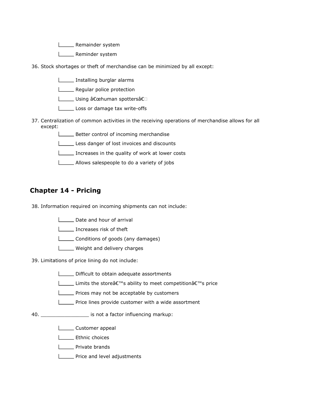**Looper** Remainder system

- L\_\_\_\_\_ Reminder system
- 36. Stock shortages or theft of merchandise can be minimized by all except:
	- **Installing burglar alarms**
	- **LETT** Regular police protection
	- L\_\_\_\_\_ Using "human spottersâ€
	- Loss or damage tax write-offs
- 37. Centralization of common activities in the receiving operations of merchandise allows for all except:
	- **Better control of incoming merchandise**
	- Less danger of lost invoices and discounts
	- Increases in the quality of work at lower costs
	- Allows salespeople to do a variety of jobs

# Chapter 14 - Pricing

38. Information required on incoming shipments can not include:

- Date and hour of arrival
- Increases risk of theft
- **LETT** Conditions of goods (any damages)
- **LECT** Weight and delivery charges

39. Limitations of price lining do not include:

- **LETT** Difficult to obtain adequate assortments
- Limits the store's ability to meet competition's price
- **Prices may not be acceptable by customers**
- **LECT** Price lines provide customer with a wide assortment
- 40. \_\_\_\_\_\_\_\_\_\_\_\_\_\_\_\_ is not a factor influencing markup:
	- **Lacker** Customer appeal
	- L**LET** Ethnic choices
	- **Lackson** Private brands
	- **LETT** Price and level adjustments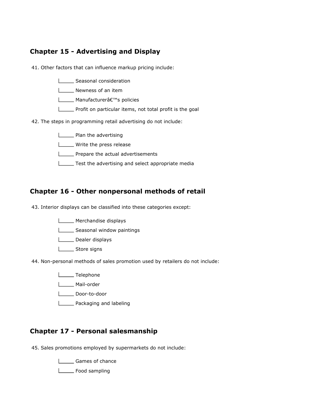# Chapter 15 - Advertising and Display

41. Other factors that can influence markup pricing include:

- Seasonal consideration
- **Newness of an item**
- L \_\_\_\_\_ Manufacturer's policies
- **LETT** Profit on particular items, not total profit is the goal
- 42. The steps in programming retail advertising do not include:
	- **LETTE** Plan the advertising
	- **LACCC** Write the press release
	- **LETT** Prepare the actual advertisements
	- Test the advertising and select appropriate media

# Chapter 16 - Other nonpersonal methods of retail

43. Interior displays can be classified into these categories except:

- **Merchandise displays**
- Seasonal window paintings
- Dealer displays
- L<sub>Store</sub> signs
- 44. Non-personal methods of sales promotion used by retailers do not include:
	- L**ECO**Telephone
	- L**ETT** Mail-order
	- Letter Door-to-door
	- **L**\_\_\_\_\_\_\_ Packaging and labeling

# Chapter 17 - Personal salesmanship

45. Sales promotions employed by supermarkets do not include:

**Lacks** Games of chance

L<sub>L</sub> Food sampling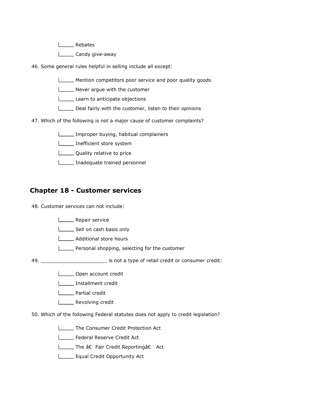L<sub>Rebates</sub>

Lossen Candy give-away

46. Some general rules helpful in selling include all except:

- Mention competitors poor service and poor quality goods
- Never argue with the customer
- Learn to anticipate objections
- Deal fairly with the customer, listen to their opinions
- 47. Which of the following is not a major cause of customer complaints?
	- Improper buying, habitual complainers
	- **Inefficient store system**
	- **L** Quality relative to price
	- Inadequate trained personnel

# Chapter 18 - Customer services

48. Customer services can not include:

- **Looper Service**
- Sell on cash basis only
- **LETTE** Additional store hours
- **LETT** Personal shopping, selecting for the customer

49. \_\_\_\_\_\_\_\_\_\_\_\_\_\_\_\_\_\_\_\_\_\_ is not a type of retail credit or consumer credit:

- **LECT** Open account credit
- L\_\_\_\_\_ Installment credit
- **L** Partial credit
- **LETTE** Revolving credit
- 50. Which of the following Federal statutes does not apply to credit legislation?
	- **The Consumer Credit Protection Act**
	- Federal Reserve Credit Act
	- **Letter** The †Fair Credit Reporting†Act
	- **Equal Credit Opportunity Act**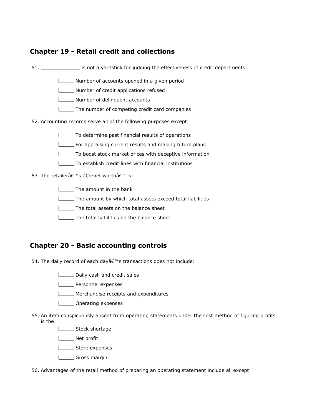# Chapter 19 - Retail credit and collections

51. \_\_\_\_\_\_\_\_\_\_\_\_\_ is not a yardstick for judging the effectiveness of credit departments:

- Number of accounts opened in a given period
- Number of credit applications refused
- **Number of delinquent accounts**
- The number of competing credit card companies
- 52. Accounting records serve all of the following purposes except:
	- To determine past financial results of operations
	- For appraising current results and making future plans
	- To boost stock market prices with deceptive information
	- To establish credit lines with financial institutions
- 53. The retailerâ€<sup>™</sup>s "net worth†is:
	- **The amount in the bank**
	- The amount by which total assets exceed total liabilities
	- The total assets on the balance sheet
	- The total liabilities on the balance sheet

#### Chapter 20 - Basic accounting controls

- 54. The daily record of each day's transactions does not include:
	- Daily cash and credit sales
	- **LETTE** Personnel expenses
	- **Merchandise receipts and expenditures**
	- L\_\_\_\_\_ Operating expenses
- 55. An item conspicuously absent from operating statements under the cost method of figuring profits is the:
	- Stock shortage
	- **Net profit**
	- **LECCCC** Store expenses
	- Gross margin
- 56. Advantages of the retail method of preparing an operating statement include all except: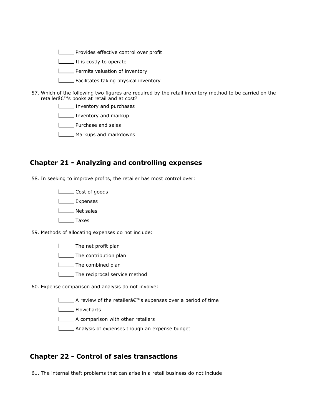**LETT** Provides effective control over profit

It is costly to operate

**Permits valuation of inventory** 

- Facilitates taking physical inventory
- 57. Which of the following two figures are required by the retail inventory method to be carried on the retailer's books at retail and at cost?
	- Inventory and purchases

Inventory and markup

**L\_\_\_\_** Purchase and sales

**Markups and markdowns** 

#### Chapter 21 - Analyzing and controlling expenses

58. In seeking to improve profits, the retailer has most control over:

L**L**Cost of goods

L**L** Expenses

L<sub>Net sales</sub>

L<sub>ab</sub>Taxes

59. Methods of allocating expenses do not include:

**The net profit plan** 

**L\_\_\_\_\_** The contribution plan

**LETTIME** Combined plan

**The reciprocal service method** 

60. Expense comparison and analysis do not involve:

**△** A review of the retailer a expenses over a period of time

**L\_\_\_\_\_** Flowcharts

A comparison with other retailers

Analysis of expenses though an expense budget

#### Chapter 22 - Control of sales transactions

61. The internal theft problems that can arise in a retail business do not include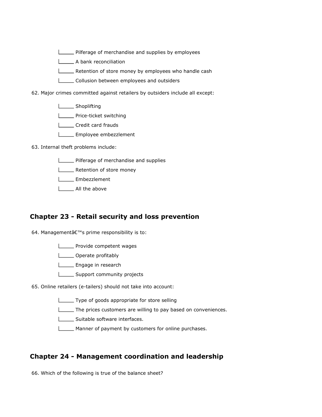**LETT** Pilferage of merchandise and supplies by employees

A bank reconciliation

**LETT** Retention of store money by employees who handle cash

Collusion between employees and outsiders

62. Major crimes committed against retailers by outsiders include all except:

- **LETTE** Shoplifting
- **LETTE** Price-ticket switching
- Credit card frauds
- **LEMPLOYEE** embezzlement
- 63. Internal theft problems include:
	- **LETT** Pilferage of merchandise and supplies
	- **LETT** Retention of store money
	- **Lower** Embezzlement
	- | All the above

#### Chapter 23 - Retail security and loss prevention

- 64. Management's prime responsibility is to:
	- **LETTE** Provide competent wages
	- **Lackson** Operate profitably
	- Engage in research
	- **LECT** Support community projects
- 65. Online retailers (e-tailers) should not take into account:
	- Type of goods appropriate for store selling
	- The prices customers are willing to pay based on conveniences.
	- Suitable software interfaces.
	- **Manner of payment by customers for online purchases.**

#### Chapter 24 - Management coordination and leadership

66. Which of the following is true of the balance sheet?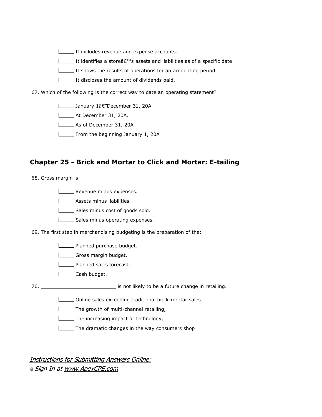It includes revenue and expense accounts.

It identifies a store $\hat{a} \in \mathbb{N}$  assets and liabilities as of a specific date

It shows the results of operations for an accounting period.

It discloses the amount of dividends paid.

67. Which of the following is the correct way to date an operating statement?

**L**\_\_\_\_\_\_ January 1â€"December 31, 20A

At December 31, 20A.

As of December 31, 20A

From the beginning January 1, 20A

#### Chapter 25 - Brick and Mortar to Click and Mortar: E-tailing

68. Gross margin is

**LETT** Revenue minus expenses.

**LECT** Assets minus liabilities.

Sales minus cost of goods sold.

Sales minus operating expenses.

69. The first step in merchandising budgeting is the preparation of the:

**Planned purchase budget.** 

Gross margin budget.

**LETTE** Planned sales forecast.

L\_\_\_\_\_\_ Cash budget.

70. \_\_\_\_\_\_\_\_\_\_\_\_\_\_\_\_\_\_\_\_\_\_\_\_\_ is not likely to be a future change in retailing.

Online sales exceeding traditional brick-mortar sales

The growth of multi-channel retailing,

The increasing impact of technology,

The dramatic changes in the way consumers shop

Instructions for Submitting Answers Online: Sign In at www.ApexCPE.com